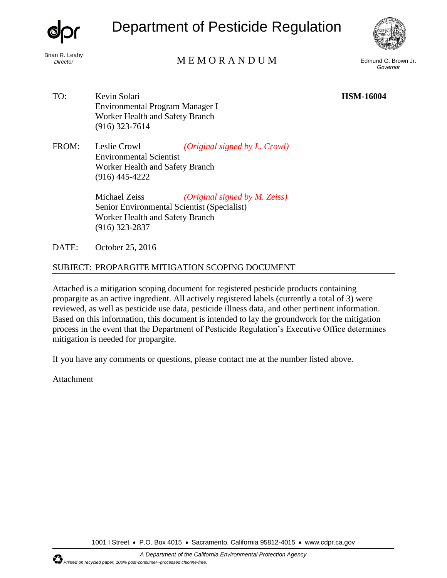Brian R. Leahy

Department of Pesticide Regulation



# *Director* Edmund G. Brown Jr. **MEMORANDUM** Edmund G. Brown Jr.

*Governor* 

TO: Kevin Solari **HSM-16004**  Environmental Program Manager I Worker Health and Safety Branch (916) 323-7614

FROM: Leslie Crowl *(Original signed by L. Crowl)*  Environmental Scientist Worker Health and Safety Branch (916) 445-4222

> Michael Zeiss *(Original signed by M. Zeiss)*  Senior Environmental Scientist (Specialist) Worker Health and Safety Branch (916) 323-2837

DATE: October 25, 2016

#### SUBJECT: PROPARGITE MITIGATION SCOPING DOCUMENT

Attached is a mitigation scoping document for registered pesticide products containing propargite as an active ingredient. All actively registered labels (currently a total of 3) were reviewed, as well as pesticide use data, pesticide illness data, and other pertinent information. Based on this information, this document is intended to lay the groundwork for the mitigation process in the event that the Department of Pesticide Regulation's Executive Office determines mitigation is needed for propargite.

If you have any comments or questions, please contact me at the number listed above.

Attachment

1001 I Street • P.O. Box 4015 • Sacramento, California 95812-4015 • www.cdpr.ca.gov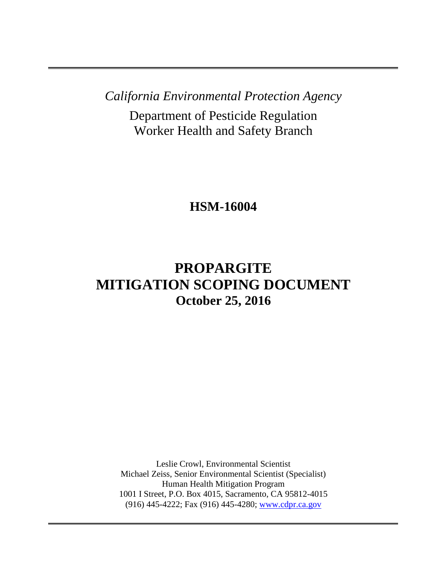*California Environmental Protection Agency* 

Department of Pesticide Regulation Worker Health and Safety Branch

**HSM-16004** 

# **PROPARGITE MITIGATION SCOPING DOCUMENT October 25, 2016**

Leslie Crowl, Environmental Scientist Michael Zeiss, Senior Environmental Scientist (Specialist) Human Health Mitigation Program 1001 I Street, P.O. Box 4015, Sacramento, CA 95812-4015 (916) 445-4222; Fax (916) 445-4280; [www.cdpr.ca.gov](http://www.cdpr.ca.gov/)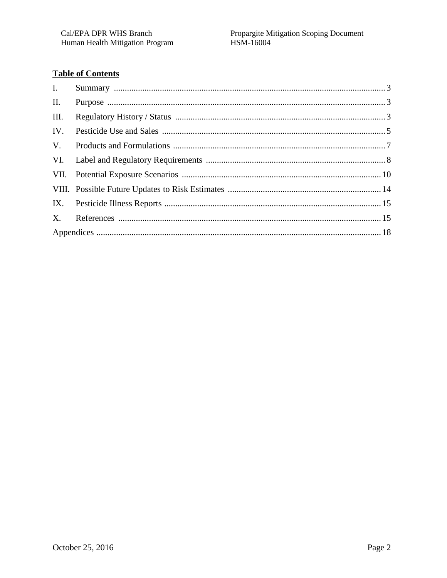## **Table of Contents**

| I.   |  |
|------|--|
| II.  |  |
| III. |  |
| IV.  |  |
| V.   |  |
|      |  |
|      |  |
|      |  |
|      |  |
|      |  |
|      |  |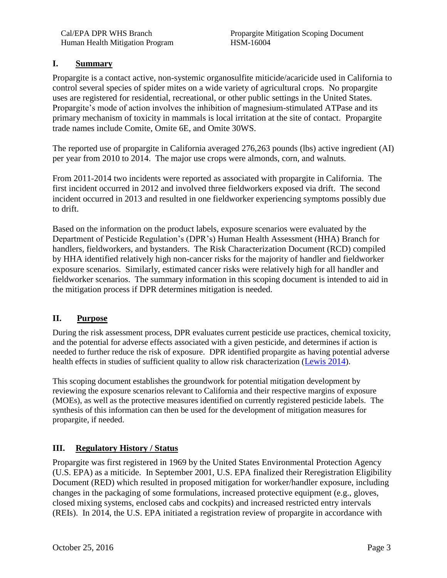#### <span id="page-3-0"></span>**I. Summary**

Propargite is a contact active, non-systemic organosulfite miticide/acaricide used in California to control several species of spider mites on a wide variety of agricultural crops. No propargite uses are registered for residential, recreational, or other public settings in the United States. Propargite's mode of action involves the inhibition of magnesium-stimulated ATPase and its primary mechanism of toxicity in mammals is local irritation at the site of contact. Propargite trade names include Comite, Omite 6E, and Omite 30WS.

The reported use of propargite in California averaged 276,263 pounds (lbs) active ingredient (AI) per year from 2010 to 2014. The major use crops were almonds, corn, and walnuts.

From 2011-2014 two incidents were reported as associated with propargite in California. The first incident occurred in 2012 and involved three fieldworkers exposed via drift. The second incident occurred in 2013 and resulted in one fieldworker experiencing symptoms possibly due to drift.

Based on the information on the product labels, exposure scenarios were evaluated by the Department of Pesticide Regulation's (DPR's) Human Health Assessment (HHA) Branch for handlers, fieldworkers, and bystanders. The Risk Characterization Document (RCD) compiled by HHA identified relatively high non-cancer risks for the majority of handler and fieldworker exposure scenarios. Similarly, estimated cancer risks were relatively high for all handler and fieldworker scenarios. The summary information in this scoping document is intended to aid in the mitigation process if DPR determines mitigation is needed.

#### **II. Purpose**

health effects in studies of sufficient quality to allow risk characterization [\(Lewis 2014\)](http://www.cdpr.ca.gov/docs/risk/rcd/propargite_2014.pdf). During the risk assessment process, DPR evaluates current pesticide use practices, chemical toxicity, and the potential for adverse effects associated with a given pesticide, and determines if action is needed to further reduce the risk of exposure. DPR identified propargite as having potential adverse

This scoping document establishes the groundwork for potential mitigation development by reviewing the exposure scenarios relevant to California and their respective margins of exposure (MOEs), as well as the protective measures identified on currently registered pesticide labels. The synthesis of this information can then be used for the development of mitigation measures for propargite, if needed.

### **III. Regulatory History / Status**

Propargite was first registered in 1969 by the United States Environmental Protection Agency (U.S. EPA) as a miticide. In September 2001, U.S. EPA finalized their Reregistration Eligibility Document (RED) which resulted in proposed mitigation for worker/handler exposure, including changes in the packaging of some formulations, increased protective equipment (e.g., gloves, closed mixing systems, enclosed cabs and cockpits) and increased restricted entry intervals (REIs). In 2014, the U.S. EPA initiated a registration review of propargite in accordance with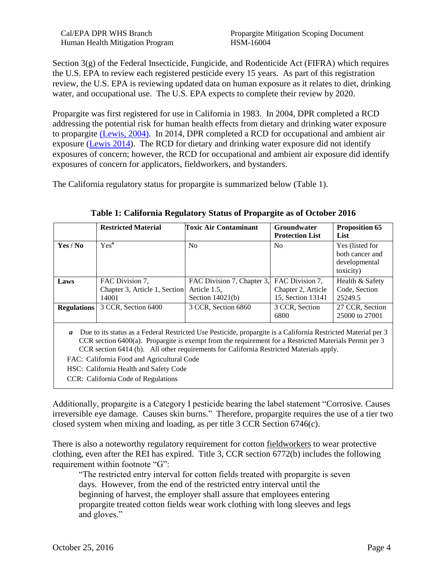Human Health Mitigation Program HSM-16004

Cal/EPA DPR WHS Branch Propargite Mitigation Scoping Document

Section 3(g) of the Federal Insecticide, Fungicide, and Rodenticide Act (FIFRA) which requires the U.S. EPA to review each registered pesticide every 15 years. As part of this registration review, the U.S. EPA is reviewing updated data on human exposure as it relates to diet, drinking water, and occupational use. The U.S. EPA expects to complete their review by 2020.

Propargite was first registered for use in California in 1983. In 2004, DPR completed a RCD addressing the potential risk for human health effects from dietary and drinking water exposure to propargite [\(Lewis, 2004\).](http://www.cdpr.ca.gov/docs/risk/rcd/propargite_2004.pdf) In 2014, DPR completed a RCD for occupational and ambient air exposure [\(Lewis 2014\)](http://www.cdpr.ca.gov/docs/risk/rcd/propargite_2014.pdf). The RCD for dietary and drinking water exposure did not identify exposures of concern; however, the RCD for occupational and ambient air exposure did identify exposures of concern for applicators, fieldworkers, and bystanders.

The California regulatory status for propargite is summarized below (Table 1).

|                    | <b>Restricted Material</b>                                | <b>Toxic Air Contaminant</b>                                     | Groundwater<br><b>Protection List</b>                      | <b>Proposition 65</b><br>List                                    |
|--------------------|-----------------------------------------------------------|------------------------------------------------------------------|------------------------------------------------------------|------------------------------------------------------------------|
| Yes / No           | $Yes^a$                                                   | N <sub>0</sub>                                                   | No                                                         | Yes (listed for<br>both cancer and<br>developmental<br>toxicity) |
| Laws               | FAC Division 7,<br>Chapter 3, Article 1, Section<br>14001 | FAC Division 7, Chapter 3,<br>Article 1.5,<br>Section $14021(b)$ | FAC Division 7,<br>Chapter 2, Article<br>15, Section 13141 | Health & Safety<br>Code, Section<br>25249.5                      |
| <b>Regulations</b> | 3 CCR, Section 6400                                       | 3 CCR, Section 6860                                              | 3 CCR, Section<br>6800                                     | 27 CCR, Section<br>25000 to 27001                                |

**Table 1: California Regulatory Status of Propargite as of October 2016** 

Due to its status as a Federal Restricted Use Pesticide, propargite is a California Restricted Material per 3 *a*  CCR section 6400(a). Propargite is exempt from the requirement for a Restricted Materials Permit per 3 CCR section 6414 (b). All other requirements for California Restricted Materials apply.

FAC: California Food and Agricultural Code

HSC: California Health and Safety Code

CCR: California Code of Regulations

Additionally, propargite is a Category I pesticide bearing the label statement "Corrosive. Causes irreversible eye damage. Causes skin burns." Therefore, propargite requires the use of a tier two closed system when mixing and loading, as per title 3 CCR Section 6746(c).

There is also a noteworthy regulatory requirement for cotton fieldworkers to wear protective clothing, even after the REI has expired. Title 3, CCR section 6772(b) includes the following requirement within footnote "G":

"The restricted entry interval for cotton fields treated with propargite is seven days. However, from the end of the restricted entry interval until the beginning of harvest, the employer shall assure that employees entering propargite treated cotton fields wear work clothing with long sleeves and legs and gloves."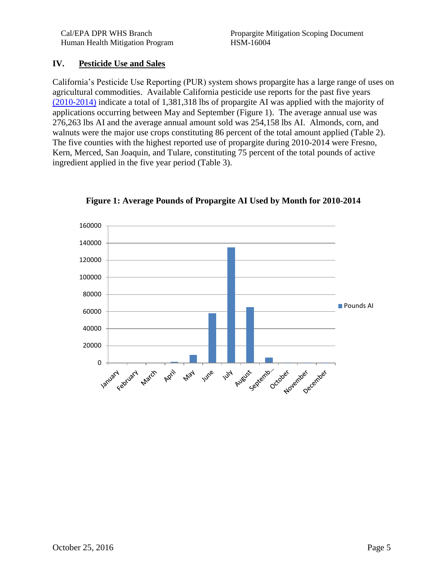#### <span id="page-5-0"></span>**IV. Pesticide Use and Sales**

California's Pesticide Use Reporting (PUR) system shows propargite has a large range of uses on agricultural commodities. Available California pesticide use reports for the past five years [\(2010-2014\)](http://www.cdpr.ca.gov/docs/pur/purmain.htm) indicate a total of 1,381,318 lbs of propargite AI was applied with the majority of applications occurring between May and September (Figure 1). The average annual use was 276,263 lbs AI and the average annual amount sold was 254,158 lbs AI. Almonds, corn, and walnuts were the major use crops constituting 86 percent of the total amount applied (Table 2). The five counties with the highest reported use of propargite during 2010-2014 were Fresno, Kern, Merced, San Joaquin, and Tulare, constituting 75 percent of the total pounds of active ingredient applied in the five year period (Table 3).



**Figure 1: Average Pounds of Propargite AI Used by Month for 2010-2014**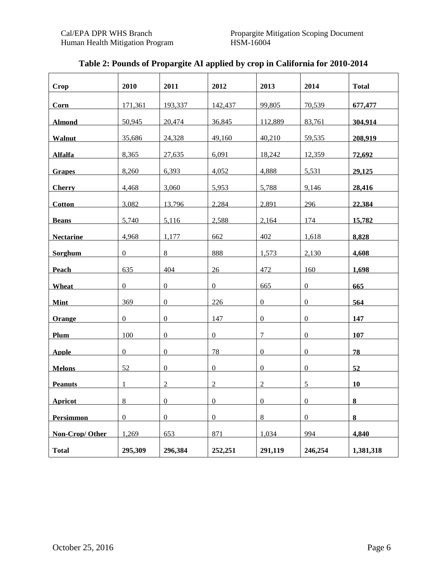| <b>Crop</b>      | 2010             | 2011             | 2012             | 2013             | 2014             | <b>Total</b> |
|------------------|------------------|------------------|------------------|------------------|------------------|--------------|
| Corn             | 171,361          | 193,337          | 142,437          | 99,805           | 70,539           | 677,477      |
| <b>Almond</b>    | 50,945           | 20,474           | 36,845           | 112.889          | 83,761           | 304.914      |
| Walnut           | 35,686           | 24,328           | 49,160           | 40,210           | 59,535           | 208,919      |
| <b>Alfalfa</b>   | 8,365            | 27,635           | 6,091            | 18,242           | 12,359           | 72,692       |
| <b>Grapes</b>    | 8,260            | 6,393            | 4,052            | 4,888            | 5,531            | 29,125       |
| <b>Cherry</b>    | 4,468            | 3,060            | 5,953            | 5,788            | 9,146            | 28,416       |
| <b>Cotton</b>    | 3.082            | 13,796           | 2,284            | 2,891            | 296              | 22.384       |
| <b>Beans</b>     | 5,740            | 5,116            | 2,588            | 2,164            | 174              | 15,782       |
| <b>Nectarine</b> | 4,968            | 1,177            | 662              | 402              | 1,618            | 8,828        |
| Sorghum          | $\boldsymbol{0}$ | 8                | 888              | 1,573            | 2,130            | 4,608        |
| Peach            | 635              | 404              | 26               | 472              | 160              | 1,698        |
| Wheat            | $\overline{0}$   | $\overline{0}$   | $\overline{0}$   | 665              | $\overline{0}$   | 665          |
| <b>Mint</b>      | 369              | $\boldsymbol{0}$ | 226              | $\boldsymbol{0}$ | $\boldsymbol{0}$ | 564          |
| Orange           | $\mathbf{0}$     | $\overline{0}$   | 147              | $\overline{0}$   | $\overline{0}$   | 147          |
| Plum             | 100              | $\boldsymbol{0}$ | $\boldsymbol{0}$ | $\tau$           | $\mathbf{0}$     | 107          |
| <b>Apple</b>     | $\overline{0}$   | $\overline{0}$   | 78               | $\Omega$         | $\Omega$         | 78           |
| <b>Melons</b>    | 52               | $\overline{0}$   | $\mathbf{0}$     | $\boldsymbol{0}$ | $\overline{0}$   | 52           |
| <b>Peanuts</b>   | 1                | $\overline{c}$   | $\overline{2}$   | $\overline{2}$   | 5                | 10           |
| <b>Apricot</b>   | 8                | $\overline{0}$   | $\overline{0}$   | $\overline{0}$   | $\overline{0}$   | $\bf{8}$     |
| <b>Persimmon</b> | $\boldsymbol{0}$ | $\overline{0}$   | $\boldsymbol{0}$ | 8                | $\overline{0}$   | $\bf{8}$     |
| Non-Crop/Other   | 1,269            | 653              | 871              | 1,034            | 994              | 4,840        |
| <b>Total</b>     | 295,309          | 296,384          | 252,251          | 291,119          | 246,254          | 1,381,318    |

### **Table 2: Pounds of Propargite AI applied by crop in California for 2010-2014**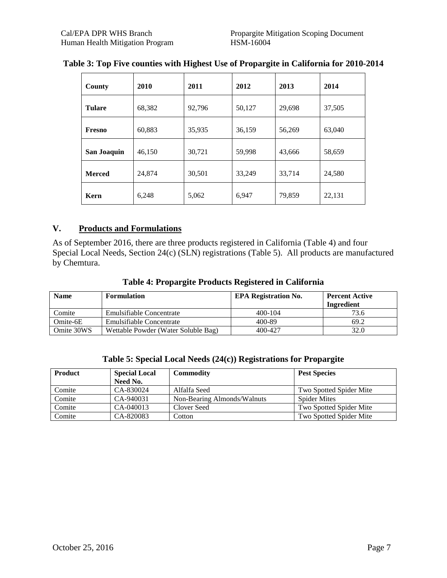| County        | 2010   | 2011   | 2012   | 2013   | 2014   |
|---------------|--------|--------|--------|--------|--------|
| <b>Tulare</b> | 68,382 | 92,796 | 50,127 | 29,698 | 37,505 |
| Fresno        | 60,883 | 35,935 | 36,159 | 56,269 | 63,040 |
| San Joaquin   | 46,150 | 30,721 | 59,998 | 43,666 | 58,659 |
| <b>Merced</b> | 24,874 | 30,501 | 33,249 | 33,714 | 24,580 |
| Kern          | 6,248  | 5,062  | 6,947  | 79,859 | 22,131 |

#### **Table 3: Top Five counties with Highest Use of Propargite in California for 2010-2014**

#### **V. Products and Formulations**

As of September 2016, there are three products registered in California (Table 4) and four Special Local Needs, Section 24(c) (SLN) registrations (Table 5). All products are manufactured by Chemtura.

| <b>Name</b> | <b>Formulation</b>                  | <b>EPA Registration No.</b> | <b>Percent Active</b><br>Ingredient |
|-------------|-------------------------------------|-----------------------------|-------------------------------------|
|             |                                     |                             |                                     |
| Comite      | Emulsifiable Concentrate            | $400 - 104$                 | 73.6                                |
| Omite-6E    | <b>Emulsifiable Concentrate</b>     | 400-89                      | 69.2                                |
| Omite 30WS  | Wettable Powder (Water Soluble Bag) | 400-427                     | 32.0                                |

| Table 5: Special Local Needs (24(c)) Registrations for Propargite |
|-------------------------------------------------------------------|
|-------------------------------------------------------------------|

| <b>Product</b> | <b>Special Local</b> | <b>Commodity</b>            | <b>Pest Species</b>     |
|----------------|----------------------|-----------------------------|-------------------------|
|                | Need No.             |                             |                         |
| Comite         | CA-830024            | Alfalfa Seed                | Two Spotted Spider Mite |
| Comite         | CA-940031            | Non-Bearing Almonds/Walnuts | <b>Spider Mites</b>     |
| Comite         | CA-040013            | Clover Seed                 | Two Spotted Spider Mite |
| Comite         | CA-820083            | Cotton                      | Two Spotted Spider Mite |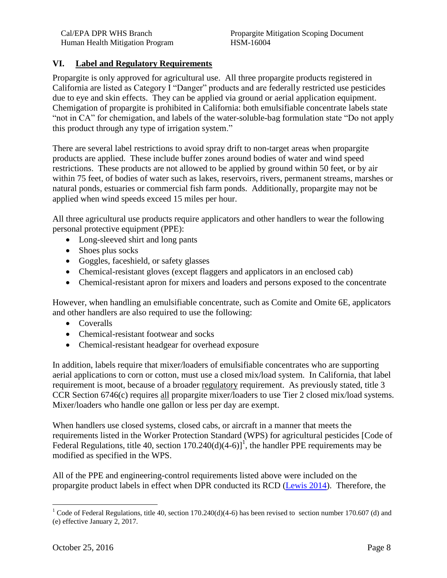#### **VI. Label and Regulatory Requirements**

Propargite is only approved for agricultural use. All three propargite products registered in California are listed as Category I "Danger" products and are federally restricted use pesticides due to eye and skin effects. They can be applied via ground or aerial application equipment. Chemigation of propargite is prohibited in California: both emulsifiable concentrate labels state "not in CA" for chemigation, and labels of the water-soluble-bag formulation state "Do not apply this product through any type of irrigation system."

There are several label restrictions to avoid spray drift to non-target areas when propargite products are applied. These include buffer zones around bodies of water and wind speed restrictions. These products are not allowed to be applied by ground within 50 feet, or by air within 75 feet, of bodies of water such as lakes, reservoirs, rivers, permanent streams, marshes or natural ponds, estuaries or commercial fish farm ponds. Additionally, propargite may not be applied when wind speeds exceed 15 miles per hour.

All three agricultural use products require applicators and other handlers to wear the following personal protective equipment (PPE):

- Long-sleeved shirt and long pants
- Shoes plus socks
- Goggles, faceshield, or safety glasses
- Chemical-resistant gloves (except flaggers and applicators in an enclosed cab)
- Chemical-resistant apron for mixers and loaders and persons exposed to the concentrate

However, when handling an emulsifiable concentrate, such as Comite and Omite 6E, applicators and other handlers are also required to use the following:

- Coveralls
- Chemical-resistant footwear and socks
- Chemical-resistant headgear for overhead exposure

In addition, labels require that mixer/loaders of emulsifiable concentrates who are supporting aerial applications to corn or cotton, must use a closed mix/load system. In California, that label requirement is moot, because of a broader regulatory requirement. As previously stated, title 3 CCR Section 6746(c) requires all propargite mixer/loaders to use Tier 2 closed mix/load systems. Mixer/loaders who handle one gallon or less per day are exempt.

When handlers use closed systems, closed cabs, or aircraft in a manner that meets the requirements listed in the Worker Protection Standard (WPS) for agricultural pesticides [Code of Federal Regulations, title 40, section  $170.240(d)(4-6)$ <sup>1</sup>, the handler PPE requirements may be modified as specified in the WPS.

All of the PPE and engineering-control requirements listed above were included on the propargite product labels in effect when DPR conducted its RCD [\(Lewis 2014\)](http://www.cdpr.ca.gov/docs/risk/rcd/propargite_2014.pdf). Therefore, the

 $\overline{a}$ 

<sup>&</sup>lt;sup>1</sup> Code of Federal Regulations, title 40, section 170.240(d)(4-6) has been revised to section number 170.607 (d) and (e) effective January 2, 2017.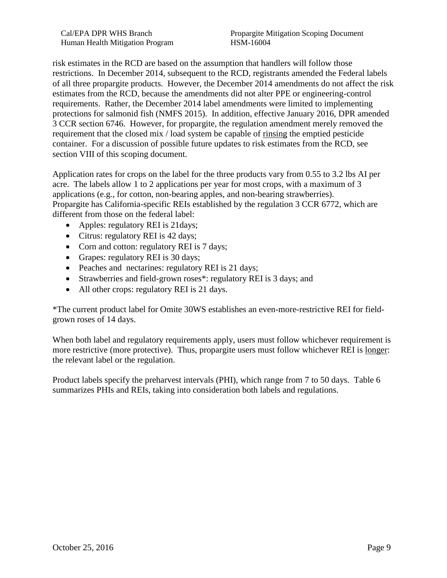Cal/EPA DPR WHS Branch Propargite Mitigation Scoping Document

risk estimates in the RCD are based on the assumption that handlers will follow those restrictions. In December 2014, subsequent to the RCD, registrants amended the Federal labels of all three propargite products. However, the December 2014 amendments do not affect the risk estimates from the RCD, because the amendments did not alter PPE or engineering-control requirements. Rather, the December 2014 label amendments were limited to implementing protections for salmonid fish (NMFS 2015). In addition, effective January 2016, DPR amended 3 CCR section 6746. However, for propargite, the regulation amendment merely removed the requirement that the closed mix / load system be capable of rinsing the emptied pesticide container. For a discussion of possible future updates to risk estimates from the RCD, see section VIII of this scoping document.

Application rates for crops on the label for the three products vary from 0.55 to 3.2 lbs AI per acre. The labels allow 1 to 2 applications per year for most crops, with a maximum of 3 applications (e.g., for cotton, non-bearing apples, and non-bearing strawberries). Propargite has California-specific REIs established by the regulation 3 CCR 6772, which are different from those on the federal label:

- Apples: regulatory REI is 21 days;
- Citrus: regulatory REI is 42 days;
- Corn and cotton: regulatory REI is 7 days;
- Grapes: regulatory REI is 30 days;
- Peaches and nectarines: regulatory REI is 21 days;
- Strawberries and field-grown roses\*: regulatory REI is 3 days; and
- All other crops: regulatory REI is 21 days.

\*The current product label for Omite 30WS establishes an even-more-restrictive REI for fieldgrown roses of 14 days.

When both label and regulatory requirements apply, users must follow whichever requirement is more restrictive (more protective). Thus, propargite users must follow whichever REI is longer: the relevant label or the regulation.

Product labels specify the preharvest intervals (PHI), which range from 7 to 50 days. Table 6 summarizes PHIs and REIs, taking into consideration both labels and regulations.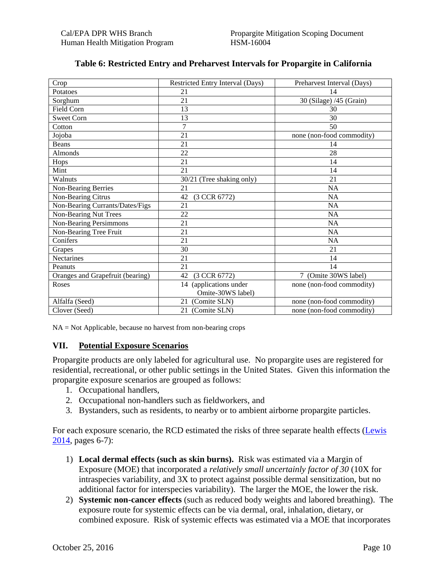| Crop                             | Restricted Entry Interval (Days) | Preharvest Interval (Days) |
|----------------------------------|----------------------------------|----------------------------|
| Potatoes                         | 21                               | 14                         |
| Sorghum                          | 21                               | 30 (Silage) /45 (Grain)    |
| <b>Field Corn</b>                | 13                               | 30                         |
| <b>Sweet Corn</b>                | 13                               | 30                         |
| Cotton                           | 7                                | 50                         |
| Jojoba                           | 21                               | none (non-food commodity)  |
| Beans                            | 21                               | 14                         |
| Almonds                          | 22                               | 28                         |
| Hops                             | 21                               | 14                         |
| Mint                             | 21                               | 14                         |
| Walnuts                          | 30/21 (Tree shaking only)        | 21                         |
| Non-Bearing Berries              | 21                               | <b>NA</b>                  |
| Non-Bearing Citrus               | (3 CCR 6772)<br>42               | <b>NA</b>                  |
| Non-Bearing Currants/Dates/Figs  | 21                               | <b>NA</b>                  |
| <b>Non-Bearing Nut Trees</b>     | 22                               | <b>NA</b>                  |
| <b>Non-Bearing Persimmons</b>    | 21                               | <b>NA</b>                  |
| Non-Bearing Tree Fruit           | 21                               | <b>NA</b>                  |
| Conifers                         | 21                               | <b>NA</b>                  |
| Grapes                           | 30                               | 21                         |
| Nectarines                       | 21                               | 14                         |
| Peanuts                          | 21                               | 14                         |
| Oranges and Grapefruit (bearing) | 42<br>(3 CCR 6772)               | (Omite 30WS label)         |
| Roses                            | (applications under<br>14        | none (non-food commodity)  |
|                                  | Omite-30WS label)                |                            |
| Alfalfa (Seed)                   | (Comite SLN)<br>21               | none (non-food commodity)  |
| Clover (Seed)                    | (Comite SLN)<br>21               | none (non-food commodity)  |

#### **Table 6: Restricted Entry and Preharvest Intervals for Propargite in California**

 $NA = Not$  Applicable, because no harvest from non-bearing crops

#### **VII. Potential Exposure Scenarios**

Propargite products are only labeled for agricultural use. No propargite uses are registered for residential, recreational, or other public settings in the United States. Given this information the propargite exposure scenarios are grouped as follows:

- 1. Occupational handlers,
- 2. Occupational non-handlers such as fieldworkers, and
- 3. Bystanders, such as residents, to nearby or to ambient airborne propargite particles.

For each exposure scenario, the RCD estimated the risks of three separate health effects [\(Lewis](http://www.cdpr.ca.gov/docs/risk/rcd/propargite_2014.pdf)  [2014,](http://www.cdpr.ca.gov/docs/risk/rcd/propargite_2014.pdf) pages 6-7):

- 1) **Local dermal effects (such as skin burns).** Risk was estimated via a Margin of Exposure (MOE) that incorporated a *relatively small uncertainly factor of 30* (10X for intraspecies variability, and 3X to protect against possible dermal sensitization, but no additional factor for interspecies variability). The larger the MOE, the lower the risk.
- 2) **Systemic non-cancer effects** (such as reduced body weights and labored breathing). The exposure route for systemic effects can be via dermal, oral, inhalation, dietary, or combined exposure. Risk of systemic effects was estimated via a MOE that incorporates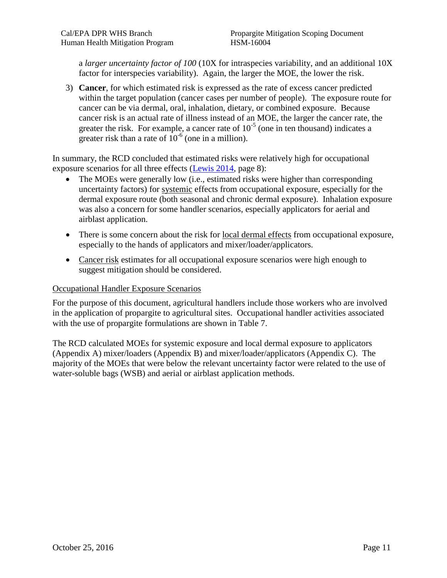a *larger uncertainty factor of 100* (10X for intraspecies variability, and an additional 10X factor for interspecies variability). Again, the larger the MOE, the lower the risk.

3) **Cancer**, for which estimated risk is expressed as the rate of excess cancer predicted within the target population (cancer cases per number of people). The exposure route for cancer can be via dermal, oral, inhalation, dietary, or combined exposure. Because cancer risk is an actual rate of illness instead of an MOE, the larger the cancer rate, the greater the risk. For example, a cancer rate of  $10^{-5}$  (one in ten thousand) indicates a greater risk than a rate of  $10^{-6}$  (one in a million).

exposure scenarios for all three effects [\(Lewis 2014,](http://www.cdpr.ca.gov/docs/risk/rcd/propargite_2014.pdf) page 8): In summary, the RCD concluded that estimated risks were relatively high for occupational

- The MOEs were generally low (i.e., estimated risks were higher than corresponding uncertainty factors) for systemic effects from occupational exposure, especially for the dermal exposure route (both seasonal and chronic dermal exposure). Inhalation exposure was also a concern for some handler scenarios, especially applicators for aerial and airblast application.
- There is some concern about the risk for local dermal effects from occupational exposure, especially to the hands of applicators and mixer/loader/applicators.
- Cancer risk estimates for all occupational exposure scenarios were high enough to suggest mitigation should be considered.

#### Occupational Handler Exposure Scenarios

For the purpose of this document, agricultural handlers include those workers who are involved in the application of propargite to agricultural sites. Occupational handler activities associated with the use of propargite formulations are shown in Table 7.

The RCD calculated MOEs for systemic exposure and local dermal exposure to applicators (Appendix A) mixer/loaders (Appendix B) and mixer/loader/applicators (Appendix C). The majority of the MOEs that were below the relevant uncertainty factor were related to the use of water-soluble bags (WSB) and aerial or airblast application methods.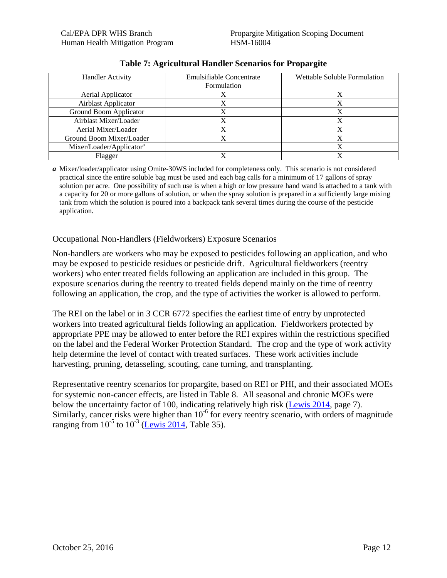| <b>Handler Activity</b>              | Emulsifiable Concentrate | Wettable Soluble Formulation |
|--------------------------------------|--------------------------|------------------------------|
|                                      | Formulation              |                              |
| Aerial Applicator                    |                          |                              |
| Airblast Applicator                  |                          |                              |
| Ground Boom Applicator               |                          |                              |
| Airblast Mixer/Loader                |                          |                              |
| Aerial Mixer/Loader                  |                          |                              |
| Ground Boom Mixer/Loader             |                          |                              |
| Mixer/Loader/Applicator <sup>a</sup> |                          |                              |
| Flagger                              |                          |                              |

#### **Table 7: Agricultural Handler Scenarios for Propargite**

Mixer/loader/applicator using Omite-30WS included for completeness only. This scenario is not considered *a*  practical since the entire soluble bag must be used and each bag calls for a minimum of 17 gallons of spray solution per acre. One possibility of such use is when a high or low pressure hand wand is attached to a tank with a capacity for 20 or more gallons of solution, or when the spray solution is prepared in a sufficiently large mixing tank from which the solution is poured into a backpack tank several times during the course of the pesticide application.

#### Occupational Non-Handlers (Fieldworkers) Exposure Scenarios

Non-handlers are workers who may be exposed to pesticides following an application, and who may be exposed to pesticide residues or pesticide drift. Agricultural fieldworkers (reentry workers) who enter treated fields following an application are included in this group. The exposure scenarios during the reentry to treated fields depend mainly on the time of reentry following an application, the crop, and the type of activities the worker is allowed to perform.

The REI on the label or in 3 CCR 6772 specifies the earliest time of entry by unprotected workers into treated agricultural fields following an application. Fieldworkers protected by appropriate PPE may be allowed to enter before the REI expires within the restrictions specified on the label and the Federal Worker Protection Standard. The crop and the type of work activity help determine the level of contact with treated surfaces. These work activities include harvesting, pruning, detasseling, scouting, cane turning, and transplanting.

below the uncertainty factor of 100, indicating relatively high risk (Lewis  $2014$ , page 7). ranging from  $10^{-5}$  to  $10^{-3}$  (Lewis 2014, Table 35). Representative reentry scenarios for propargite, based on REI or PHI, and their associated MOEs for systemic non-cancer effects, are listed in Table 8. All seasonal and chronic MOEs were Similarly, cancer risks were higher than  $10^{-6}$  for every reentry scenario, with orders of magnitude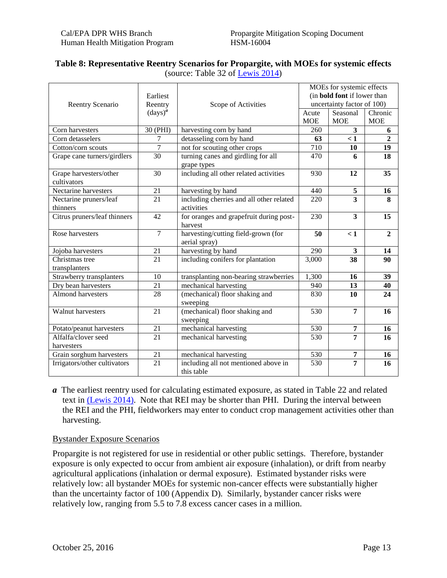#### (source: Table 32 of [Lewis 2014\)](http://www.cdpr.ca.gov/docs/risk/rcd/propargite_2014.pdf) **Table 8: Representative Reentry Scenarios for Propargite, with MOEs for systemic effects**

| Reentry Scenario                      | Earliest<br>Reentry          | Scope of Activities                                    | MOEs for systemic effects<br>(in <b>bold font</b> if lower than<br>uncertainty factor of 100) |                         |                       |  |
|---------------------------------------|------------------------------|--------------------------------------------------------|-----------------------------------------------------------------------------------------------|-------------------------|-----------------------|--|
|                                       | $\left(\text{days}\right)^a$ |                                                        | Acute<br><b>MOE</b>                                                                           | Seasonal<br><b>MOE</b>  | Chronic<br><b>MOE</b> |  |
| Corn harvesters                       | 30 (PHI)                     | harvesting corn by hand                                | 260                                                                                           | 3                       | 6                     |  |
| Corn detasselers                      | 7                            | detasseling corn by hand                               | 63                                                                                            | < 1                     | $\overline{2}$        |  |
| Cotton/corn scouts                    | 7                            | not for scouting other crops                           | 710                                                                                           | 10                      | 19                    |  |
| Grape cane turners/girdlers           | 30                           | turning canes and girdling for all<br>grape types      | 470                                                                                           | 6                       | 18                    |  |
| Grape harvesters/other<br>cultivators | 30                           | including all other related activities                 | 930                                                                                           | 12                      | 35                    |  |
| Nectarine harvesters                  | 21                           | harvesting by hand                                     | 440                                                                                           | 5                       | 16                    |  |
| Nectarine pruners/leaf<br>thinners    | 21                           | including cherries and all other related<br>activities | 220                                                                                           | $\overline{\mathbf{3}}$ | 8                     |  |
| Citrus pruners/leaf thinners          | 42                           | for oranges and grapefruit during post-<br>harvest     | 230                                                                                           | 3                       | 15                    |  |
| Rose harvesters                       | $\overline{7}$               | harvesting/cutting field-grown (for<br>aerial spray)   | 50                                                                                            | $\leq 1$                | $\overline{2}$        |  |
| Jojoba harvesters                     | 21                           | harvesting by hand                                     | 290                                                                                           | $\overline{\mathbf{3}}$ | 14                    |  |
| Christmas tree<br>transplanters       | 21                           | including conifers for plantation                      | 3,000                                                                                         | $\overline{38}$         | 90                    |  |
| Strawberry transplanters              | 10                           | transplanting non-bearing strawberries                 | 1,300                                                                                         | 16                      | 39                    |  |
| Dry bean harvesters                   | 21                           | mechanical harvesting                                  | 940                                                                                           | 13                      | 40                    |  |
| <b>Almond harvesters</b>              | 28                           | (mechanical) floor shaking and<br>sweeping             | 830                                                                                           | 10                      | 24                    |  |
| <b>Walnut harvesters</b>              | 21                           | (mechanical) floor shaking and<br>sweeping             | 530                                                                                           | $\overline{7}$          | 16                    |  |
| Potato/peanut harvesters              | 21                           | mechanical harvesting                                  | 530                                                                                           | 7                       | 16                    |  |
| Alfalfa/clover seed                   | 21                           | mechanical harvesting                                  | 530                                                                                           | 7                       | 16                    |  |
| harvesters                            |                              |                                                        |                                                                                               |                         |                       |  |
| Grain sorghum harvesters              | 21                           | mechanical harvesting                                  | 530                                                                                           | 7                       | 16                    |  |
| Irrigators/other cultivators          | $\overline{21}$              | including all not mentioned above in<br>this table     | $\overline{530}$                                                                              | $\overline{7}$          | 16                    |  |

*a* The earliest reentry used for calculating estimated exposure, as stated in Table 22 and related text in [\(Lewis 2014\).](http://www.cdpr.ca.gov/docs/risk/rcd/propargite_2014.pdf) Note that REI may be shorter than PHI. During the interval between the REI and the PHI, fieldworkers may enter to conduct crop management activities other than harvesting.

#### Bystander Exposure Scenarios

Propargite is not registered for use in residential or other public settings. Therefore, bystander exposure is only expected to occur from ambient air exposure (inhalation), or drift from nearby agricultural applications (inhalation or dermal exposure). Estimated bystander risks were relatively low: all bystander MOEs for systemic non-cancer effects were substantially higher than the uncertainty factor of 100 (Appendix D). Similarly, bystander cancer risks were relatively low, ranging from 5.5 to 7.8 excess cancer cases in a million.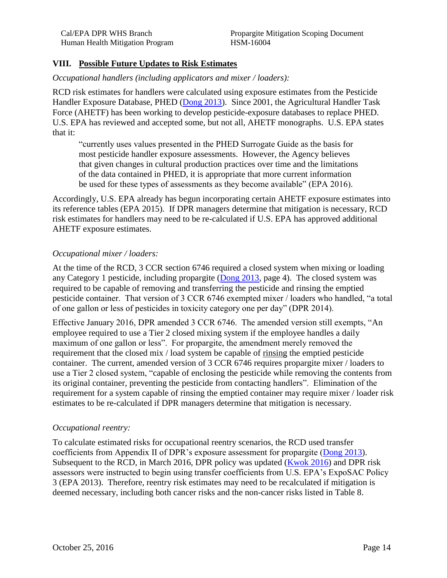#### **VIII. Possible Future Updates to Risk Estimates**

#### *Occupational handlers (including applicators and mixer / loaders):*

RCD risk estimates for handlers were calculated using exposure estimates from the Pesticide Handler Exposure Database, PHED [\(Dong 2013\)](http://www.cdpr.ca.gov/docs/risk/rcd/propargite_ead_final.pdf). Since 2001, the Agricultural Handler Task Force (AHETF) has been working to develop pesticide-exposure databases to replace PHED. U.S. EPA has reviewed and accepted some, but not all, AHETF monographs. U.S. EPA states that it:

"currently uses values presented in the PHED Surrogate Guide as the basis for most pesticide handler exposure assessments. However, the Agency believes that given changes in cultural production practices over time and the limitations of the data contained in PHED, it is appropriate that more current information be used for these types of assessments as they become available" (EPA 2016).

Accordingly, U.S. EPA already has begun incorporating certain AHETF exposure estimates into its reference tables (EPA 2015). If DPR managers determine that mitigation is necessary, RCD risk estimates for handlers may need to be re-calculated if U.S. EPA has approved additional AHETF exposure estimates.

#### *Occupational mixer / loaders:*

At the time of the RCD, 3 CCR section 6746 required a closed system when mixing or loading any Category 1 pesticide, including propargite [\(Dong 2013,](http://www.cdpr.ca.gov/docs/risk/rcd/propargite_ead_final.pdf) page 4). The closed system was required to be capable of removing and transferring the pesticide and rinsing the emptied pesticide container. That version of 3 CCR 6746 exempted mixer / loaders who handled, "a total of one gallon or less of pesticides in toxicity category one per day" (DPR 2014).

Effective January 2016, DPR amended 3 CCR 6746. The amended version still exempts, "An employee required to use a Tier 2 closed mixing system if the employee handles a daily maximum of one gallon or less". For propargite, the amendment merely removed the requirement that the closed mix / load system be capable of rinsing the emptied pesticide container. The current, amended version of 3 CCR 6746 requires propargite mixer / loaders to use a Tier 2 closed system, "capable of enclosing the pesticide while removing the contents from its original container, preventing the pesticide from contacting handlers". Elimination of the requirement for a system capable of rinsing the emptied container may require mixer / loader risk estimates to be re-calculated if DPR managers determine that mitigation is necessary.

#### *Occupational reentry:*

To calculate estimated risks for occupational reentry scenarios, the RCD used transfer coefficients from Appendix II of DPR's exposure assessment for propargite [\(Dong 2013\)](http://www.cdpr.ca.gov/docs/risk/rcd/propargite_ead_final.pdf). Subsequent to the RCD, in March 2016, DPR policy was updated [\(Kwok 2016\)](http://www.cdpr.ca.gov/docs/hha/memos/exposure_assessment.pdf) and DPR risk assessors were instructed to begin using transfer coefficients from U.S. EPA's ExpoSAC Policy 3 (EPA 2013). Therefore, reentry risk estimates may need to be recalculated if mitigation is deemed necessary, including both cancer risks and the non-cancer risks listed in Table 8.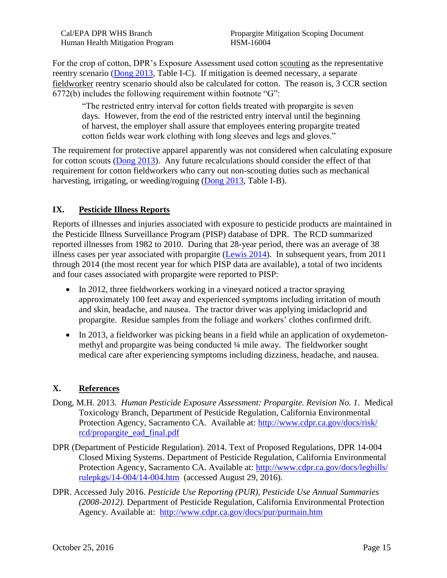Human Health Mitigation Program HSM-16004

Cal/EPA DPR WHS Branch Propargite Mitigation Scoping Document

For the crop of cotton, DPR's Exposure Assessment used cotton scouting as the representative reentry scenario [\(Dong 2013,](http://www.cdpr.ca.gov/docs/risk/rcd/propargite_ead_final.pdf) Table I-C). If mitigation is deemed necessary, a separate fieldworker reentry scenario should also be calculated for cotton. The reason is, 3 CCR section 6772(b) includes the following requirement within footnote "G":

"The restricted entry interval for cotton fields treated with propargite is seven days. However, from the end of the restricted entry interval until the beginning of harvest, the employer shall assure that employees entering propargite treated cotton fields wear work clothing with long sleeves and legs and gloves."

The requirement for protective apparel apparently was not considered when calculating exposure for cotton scouts [\(Dong 2013\)](http://www.cdpr.ca.gov/docs/risk/rcd/propargite_ead_final.pdf). Any future recalculations should consider the effect of that requirement for cotton fieldworkers who carry out non-scouting duties such as mechanical harvesting, irrigating, or weeding/roguing [\(Dong 2013,](http://www.cdpr.ca.gov/docs/risk/rcd/propargite_ead_final.pdf) Table I-B).

#### **IX. Pesticide Illness Reports**

Reports of illnesses and injuries associated with exposure to pesticide products are maintained in the Pesticide Illness Surveillance Program (PISP) database of DPR. The RCD summarized reported illnesses from 1982 to 2010. During that 28-year period, there was an average of 38 illness cases per year associated with propargite [\(Lewis 2014\)](http://www.cdpr.ca.gov/docs/risk/rcd/propargite_2014.pdf). In subsequent years, from 2011 through 2014 (the most recent year for which PISP data are available), a total of two incidents and four cases associated with propargite were reported to PISP:

- In 2012, three fieldworkers working in a vineyard noticed a tractor spraying approximately 100 feet away and experienced symptoms including irritation of mouth and skin, headache, and nausea. The tractor driver was applying imidacloprid and propargite. Residue samples from the foliage and workers' clothes confirmed drift.
- In 2013, a fieldworker was picking beans in a field while an application of oxydemetonmethyl and propargite was being conducted ¼ mile away. The fieldworker sought medical care after experiencing symptoms including dizziness, headache, and nausea.

#### **X. References**

- Dong, M.H. 2013. *Human Pesticide Exposure Assessment: Propargite. Revision No. 1.* Medical Toxicology Branch, Department of Pesticide Regulation, California Environmental Protection Agency, Sacramento CA. Available at: [http://www.cdpr.ca.gov/docs/risk/](http://www.cdpr.ca.gov/docs/risk/rcd/propargite_ead_final.pdf)  [rcd/propargite\\_ead\\_final.pdf](http://www.cdpr.ca.gov/docs/risk/rcd/propargite_ead_final.pdf)
- DPR (Department of Pesticide Regulation). 2014. Text of Proposed Regulations, DPR 14-004 Closed Mixing Systems. Department of Pesticide Regulation, California Environmental Protection Agency, Sacramento CA. Available at: [http://www.cdpr.ca.gov/docs/legbills/](http://www.cdpr.ca.gov/docs/legbills/rulepkgs/14-004/14-004.htm)  [rulepkgs/14-004/14-004.htm](http://www.cdpr.ca.gov/docs/legbills/rulepkgs/14-004/14-004.htm) (accessed August 29, 2016).
- DPR. Accessed July 2016. *Pesticide Use Reporting (PUR), Pesticide Use Annual Summaries (2008-2012).* Department of Pesticide Regulation, California Environmental Protection Agency. Available at:<http://www.cdpr.ca.gov/docs/pur/purmain.htm>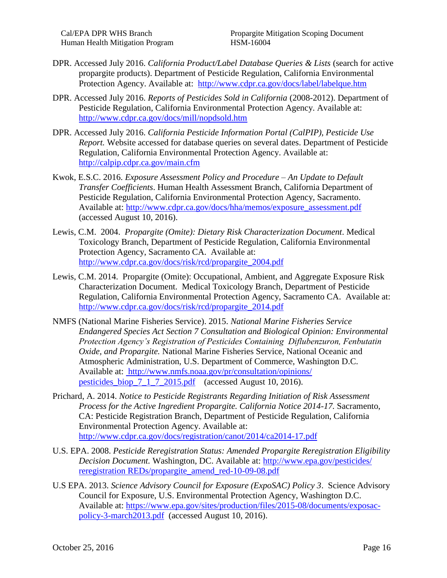- DPR. Accessed July 2016. *California Product/Label Database Queries & Lists* (search for active propargite products). Department of Pesticide Regulation, California Environmental Protection Agency. Available at:<http://www.cdpr.ca.gov/docs/label/labelque.htm>
- DPR. Accessed July 2016. *Reports of Pesticides Sold in California* (2008-2012). Department of Pesticide Regulation, California Environmental Protection Agency. Available at: <http://www.cdpr.ca.gov/docs/mill/nopdsold.htm>
- DPR. Accessed July 2016. *California Pesticide Information Portal (CalPIP), Pesticide Use Report.* Website accessed for database queries on several dates. Department of Pesticide Regulation, California Environmental Protection Agency. Available at: <http://calpip.cdpr.ca.gov/main.cfm>
- Kwok, E.S.C. 2016. *Exposure Assessment Policy and Procedure – An Update to Default Transfer Coefficients*. Human Health Assessment Branch, California Department of Pesticide Regulation, California Environmental Protection Agency, Sacramento. Available at: [http://www.cdpr.ca.gov/docs/hha/memos/exposure\\_assessment.pdf](http://www.cdpr.ca.gov/docs/hha/memos/exposure_assessment.pdf) (accessed August 10, 2016).
- Lewis, C.M. 2004. *Propargite (Omite): Dietary Risk Characterization Document*. Medical Toxicology Branch, Department of Pesticide Regulation, California Environmental Protection Agency, Sacramento CA. Available at: [http://www.cdpr.ca.gov/docs/risk/rcd/propargite\\_2004.pdf](http://www.cdpr.ca.gov/docs/risk/rcd/propargite_2004.pdf)
- Lewis, C.M. 2014. Propargite (Omite): Occupational, Ambient, and Aggregate Exposure Risk Characterization Document. Medical Toxicology Branch, Department of Pesticide Regulation, California Environmental Protection Agency, Sacramento CA. Available at: [http://www.cdpr.ca.gov/docs/risk/rcd/propargite\\_2014.pdf](http://www.cdpr.ca.gov/docs/risk/rcd/propargite_2014.pdf)
- NMFS (National Marine Fisheries Service). 2015. *National Marine Fisheries Service Endangered Species Act Section 7 Consultation and Biological Opinion: Environmental Protection Agency's Registration of Pesticides Containing Diflubenzuron, Fenbutatin Oxide, and Propargite.* National Marine Fisheries Service, National Oceanic and Atmospheric Administration, U.S. Department of Commerce, Washington D.C. Available at: [http://www.nmfs.noaa.gov/pr/consultation/opinions/](http://www.nmfs.noaa.gov/pr/consultation/opinions/pesticides_biop_7_1_7_2015.pdf)  [pesticides\\_biop\\_7\\_1\\_7\\_2015.pdf](http://www.nmfs.noaa.gov/pr/consultation/opinions/pesticides_biop_7_1_7_2015.pdf) (accessed August 10, 2016).
- Prichard, A. 2014. *Notice to Pesticide Registrants Regarding Initiation of Risk Assessment Process for the Active Ingredient Propargite. California Notice 2014-17.* Sacramento, CA: Pesticide Registration Branch, Department of Pesticide Regulation, California Environmental Protection Agency. Available at: <http://www.cdpr.ca.gov/docs/registration/canot/2014/ca2014-17.pdf>
- U.S. EPA. 2008. *Pesticide Reregistration Status: Amended Propargite Reregistration Eligibility Decision Document.* Washington, DC. Available at: [http://www.epa.gov/pesticides/](http://www.epa.gov/pesticides/reregistration/REDs/propargite_amend_red-10-09-08.pdf)  [reregistration REDs/propargite\\_amend\\_red-10-09-08.pdf](http://www.epa.gov/pesticides/reregistration/REDs/propargite_amend_red-10-09-08.pdf)
- U.S EPA. 2013. *Science Advisory Council for Exposure (ExpoSAC) Policy 3*. Science Advisory Council for Exposure, U.S. Environmental Protection Agency, Washington D.C. Available at: [https://www.epa.gov/sites/production/files/2015-08/documents/exposac](https://www.epa.gov/sites/production/files/2015-08/documents/exposac-policy-3-march2013.pdf)[policy-3-march2013.pdf](https://www.epa.gov/sites/production/files/2015-08/documents/exposac-policy-3-march2013.pdf) (accessed August 10, 2016).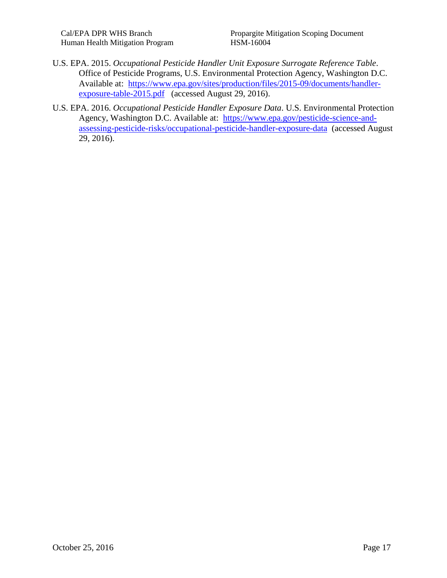- U.S. EPA. 2015. *Occupational Pesticide Handler Unit Exposure Surrogate Reference Table*. Office of Pesticide Programs, U.S. Environmental Protection Agency, Washington D.C. Available at: [https://www.epa.gov/sites/production/files/2015-09/documents/handler](https://www.epa.gov/sites/production/files/2015-09/documents/handler-exposure-table-2015.pdf)[exposure-table-2015.pdf](https://www.epa.gov/sites/production/files/2015-09/documents/handler-exposure-table-2015.pdf) (accessed August 29, 2016).
- U.S. EPA. 2016. *Occupational Pesticide Handler Exposure Data*. U.S. Environmental Protection Agency, Washington D.C. Available at: [https://www.epa.gov/pesticide-science-and](https://www.epa.gov/pesticide-science-and-assessing-pesticide-risks/occupational-pesticide-handler-exposure-data)[assessing-pesticide-risks/occupational-pesticide-handler-exposure-data](https://www.epa.gov/pesticide-science-and-assessing-pesticide-risks/occupational-pesticide-handler-exposure-data) (accessed August 29, 2016).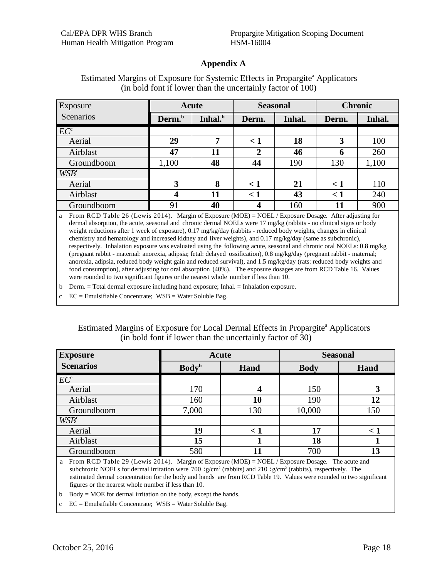#### **Appendix A**

| Exposure         |                    | Acute               | <b>Seasonal</b> |        |              | <b>Chronic</b> |
|------------------|--------------------|---------------------|-----------------|--------|--------------|----------------|
| Scenarios        | Derm. <sup>b</sup> | Inhal. <sup>b</sup> | Derm.           | Inhal. | Derm.        | Inhal.         |
| EC <sup>c</sup>  |                    |                     |                 |        |              |                |
| Aerial           | 29                 | 7                   | $\leq 1$        | 18     | 3            | 100            |
| Airblast         | 47                 | 11                  | 2               | 46     | <sup>0</sup> | 260            |
| Groundboom       | 1,100              | 48                  | 44              | 190    | 130          | 1,100          |
| WSB <sup>c</sup> |                    |                     |                 |        |              |                |
| Aerial           | 3                  | 8                   | $\leq 1$        | 21     | $\lt 1$      | 110            |
| Airblast         | 4                  | 11                  | $\leq 1$        | 43     | $\lt 1$      | 240            |
| Groundboom       | 91                 | 40                  | 4               | 160    | 11           | 900            |

#### Estimated Margins of Exposure for Systemic Effects in Propargite<sup>a</sup> Applicators (in bold font if lower than the uncertainly factor of 100)

a From RCD Table 26 (Lewis 2014). Margin of Exposure (MOE) = NOEL / Exposure Dosage. After adjusting for dermal absorption, the acute, seasonal and chronic dermal NOELs were 17 mg/kg (rabbits - no clinical signs or body weight reductions after 1 week of exposure), 0.17 mg/kg/day (rabbits - reduced body weights, changes in clinical chemistry and hematology and increased kidney and liver weights), and 0.17 mg/kg/day (same as subchronic), respectively. Inhalation exposure was evaluated using the following acute, seasonal and chronic oral NOELs: 0.8 mg/kg (pregnant rabbit - maternal: anorexia, adipsia; fetal: delayed ossification), 0.8 mg/kg/day (pregnant rabbit - maternal; anorexia, adipsia, reduced body weight gain and reduced survival), and 1.5 mg/kg/day (rats: reduced body weights and food consumption), after adjusting for oral absorption (40%). The exposure dosages are from RCD Table 16. Values were rounded to two significant figures or the nearest whole number if less than 10.

b Derm. = Total dermal exposure including hand exposure; Inhal. = Inhalation exposure.

c EC = Emulsifiable Concentrate; WSB = Water Soluble Bag.

#### Estimated Margins of Exposure for Local Dermal Effects in Propargite<sup>a</sup> Applicators (in bold font if lower than the uncertainly factor of 30)

| <b>Exposure</b>  | Acute                    |          | <b>Seasonal</b> |         |
|------------------|--------------------------|----------|-----------------|---------|
| <b>Scenarios</b> | <b>Body</b> <sup>b</sup> | Hand     | <b>Body</b>     | Hand    |
| EC <sup>c</sup>  |                          |          |                 |         |
| Aerial           | 170                      |          | 150             |         |
| Airblast         | 160                      | 10       | 190             | 12      |
| Groundboom       | 7,000                    | 130      | 10,000          | 150     |
| WSB <sup>c</sup> |                          |          |                 |         |
| Aerial           | 19                       | $\leq 1$ | 17              | $\lt 1$ |
| Airblast         | 15                       |          | 18              |         |
| Groundboom       | 580                      | 11       | 700             | 13      |
| ________________ |                          |          | $-$             |         |

a From RCD Table 29 (Lewis 2014). Margin of Exposure (MOE) = NOEL / Exposure Dosage. The acute and subchronic NOELs for dermal irritation were 700 : $g/cm^2$  (rabbits) and 210 : $g/cm^2$  (rabbits), respectively. The estimated dermal concentration for the body and hands are from RCD Table 19. Values were rounded to two significant figures or the nearest whole number if less than 10.

b Body = MOE for dermal irritation on the body, except the hands.

c EC = Emulsifiable Concentrate; WSB = Water Soluble Bag.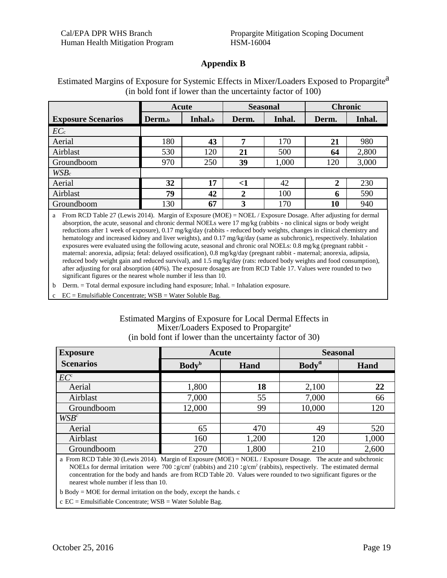#### **Appendix B**

|                           | Acute              |         | <b>Seasonal</b> |        | <b>Chronic</b> |        |
|---------------------------|--------------------|---------|-----------------|--------|----------------|--------|
| <b>Exposure Scenarios</b> | Derm. <sub>b</sub> | Inhal.b | Derm.           | Inhal. | Derm.          | Inhal. |
| EC <sub>c</sub>           |                    |         |                 |        |                |        |
| Aerial                    | 180                | 43      | 7               | 170    | 21             | 980    |
| Airblast                  | 530                | 120     | 21              | 500    | 64             | 2,800  |
| Groundboom                | 970                | 250     | 39              | 1,000  | 120            | 3,000  |
| $WSB_c$                   |                    |         |                 |        |                |        |
| Aerial                    | 32                 | 17      | $<$ 1           | 42     | $\overline{2}$ | 230    |
| Airblast                  | 79                 | 42      | $\mathbf{2}$    | 100    | 6              | 590    |
| Groundboom                | 130                | 67      | 3               | 170    | 10             | 940    |

Estimated Margins of Exposure for Systemic Effects in Mixer/Loaders Exposed to Propargite<sup>a</sup> (in bold font if lower than the uncertainty factor of 100)

 a From RCD Table 27 (Lewis 2014). Margin of Exposure (MOE) = NOEL / Exposure Dosage. After adjusting for dermal absorption, the acute, seasonal and chronic dermal NOELs were 17 mg/kg (rabbits - no clinical signs or body weight reductions after 1 week of exposure), 0.17 mg/kg/day (rabbits - reduced body weights, changes in clinical chemistry and hematology and increased kidney and liver weights), and 0.17 mg/kg/day (same as subchronic), respectively. Inhalation exposures were evaluated using the following acute, seasonal and chronic oral NOELs: 0.8 mg/kg (pregnant rabbit maternal: anorexia, adipsia; fetal: delayed ossification), 0.8 mg/kg/day (pregnant rabbit - maternal; anorexia, adipsia, reduced body weight gain and reduced survival), and 1.5 mg/kg/day (rats: reduced body weights and food consumption), after adjusting for oral absorption (40%). The exposure dosages are from RCD Table 17. Values were rounded to two significant figures or the nearest whole number if less than 10.

Derm. = Total dermal exposure including hand exposure; Inhal. = Inhalation exposure. b

 $EC =$  Emulsifiable Concentrate;  $WSB =$  Water Soluble Bag.

#### Estimated Margins of Exposure for Local Dermal Effects in Mixer/Loaders Exposed to Propargite<sup>a</sup> (in bold font if lower than the uncertainty factor of 30)

| <b>Exposure</b>  | Acute                    |       | <b>Seasonal</b>          |       |  |
|------------------|--------------------------|-------|--------------------------|-------|--|
| <b>Scenarios</b> | <b>Body</b> <sup>b</sup> | Hand  | <b>Body</b> <sup>d</sup> | Hand  |  |
| $EC^c$           |                          |       |                          |       |  |
| Aerial           | 1,800                    | 18    | 2,100                    | 22    |  |
| Airblast         | 7,000                    | 55    | 7,000                    | 66    |  |
| Groundboom       | 12,000                   | 99    | 10,000                   | 120   |  |
| $WSB^c$          |                          |       |                          |       |  |
| Aerial           | 65                       | 470   | 49                       | 520   |  |
| Airblast         | 160                      | 1,200 | 120                      | 1,000 |  |
| Groundboom       | 270                      | 1,800 | 210                      | 2,600 |  |

a From RCD Table 30 (Lewis 2014). Margin of Exposure (MOE) = NOEL / Exposure Dosage. The acute and subchronic NOELs for dermal irritation were 700 :g/cm2 (rabbits) and 210 :g/cm2 (rabbits), respectively. The estimated dermal concentration for the body and hands are from RCD Table 20. Values were rounded to two significant figures or the nearest whole number if less than 10.

 $b$  Body = MOE for dermal irritation on the body, except the hands. c

c EC = Emulsifiable Concentrate; WSB = Water Soluble Bag.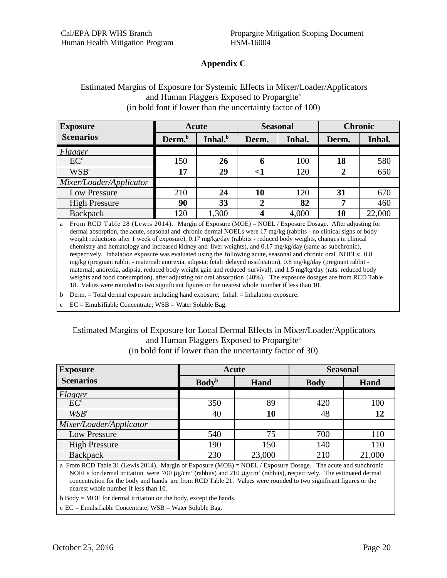#### **Appendix C**

#### Estimated Margins of Exposure for Systemic Effects in Mixer/Loader/Applicators and Human Flaggers Exposed to Propargite<sup>a</sup> (in bold font if lower than the uncertainty factor of 100)

| <b>Exposure</b>         |                    | Acute               | <b>Seasonal</b> |        | <b>Chronic</b> |        |
|-------------------------|--------------------|---------------------|-----------------|--------|----------------|--------|
| <b>Scenarios</b>        | Derm. <sup>b</sup> | Inhal. <sup>b</sup> | Derm.           | Inhal. | Derm.          | Inhal. |
| Flagger                 |                    |                     |                 |        |                |        |
| EC <sup>c</sup>         | 150                | 26                  | o               | 100    | 18             | 580    |
| WSB <sup>c</sup>        | 17                 | 29                  | $\leq$          | 120    |                | 650    |
| Mixer/Loader/Applicator |                    |                     |                 |        |                |        |
| Low Pressure            | 210                | 24                  | 10              | 120    | 31             | 670    |
| <b>High Pressure</b>    | 90                 | 33                  |                 | 82     | ៗ              | 460    |
| <b>Backpack</b>         | 120                | 1,300               |                 | 4,000  | 10             | 22,000 |

 From RCD Table 28 (Lewis 2014). Margin of Exposure (MOE) = NOEL / Exposure Dosage. After adjusting for dermal absorption, the acute, seasonal and chronic dermal NOELs were 17 mg/kg (rabbits - no clinical signs or body weight reductions after 1 week of exposure), 0.17 mg/kg/day (rabbits - reduced body weights, changes in clinical chemistry and hematology and increased kidney and liver weights), and 0.17 mg/kg/day (same as subchronic), respectively. Inhalation exposure was evaluated using the following acute, seasonal and chronic oral NOELs: 0.8 mg/kg (pregnant rabbit - maternal: anorexia, adipsia; fetal: delayed ossification), 0.8 mg/kg/day (pregnant rabbit maternal; anorexia, adipsia, reduced body weight gain and reduced survival), and 1.5 mg/kg/day (rats: reduced body weights and food consumption), after adjusting for oral absorption (40%). The exposure dosages are from RCD Table 18. Values were rounded to two significant figures or the nearest whole number if less than 10. a

b Derm. = Total dermal exposure including hand exposure; Inhal. = Inhalation exposure.

 $EC =$  Emulsifiable Concentrate;  $WSB =$  Water Soluble Bag.

#### Estimated Margins of Exposure for Local Dermal Effects in Mixer/Loader/Applicators and Human Flaggers Exposed to Propargite<sup>a</sup> (in bold font if lower than the uncertainty factor of 30)

| <b>Exposure</b>         | Acute                    |        | <b>Seasonal</b> |        |  |
|-------------------------|--------------------------|--------|-----------------|--------|--|
| <b>Scenarios</b>        | <b>Body</b> <sup>b</sup> | Hand   | <b>Body</b>     | Hand   |  |
| Flagger                 |                          |        |                 |        |  |
| $EC^c$                  | 350                      | 89     | 420             | 100    |  |
| $WSB^c$                 | 40                       | 10     | 48              | 12     |  |
| Mixer/Loader/Applicator |                          |        |                 |        |  |
| Low Pressure            | 540                      | 75     | 700             | 110    |  |
| <b>High Pressure</b>    | 190                      | 150    | 140             | 110    |  |
| <b>Backpack</b>         | 230                      | 23,000 | 210             | 21,000 |  |

a From RCD Table 31 (Lewis 2014). Margin of Exposure (MOE) = NOEL / Exposure Dosage. The acute and subchronic NOELs for dermal irritation were 700  $\mu$ g/cm<sup>2</sup> (rabbits) and 210  $\mu$ g/cm<sup>2</sup> (rabbits), respectively. The estimated dermal concentration for the body and hands are from RCD Table 21. Values were rounded to two significant figures or the nearest whole number if less than 10.

b Body = MOE for dermal irritation on the body, except the hands.

c EC = Emulsifiable Concentrate; WSB = Water Soluble Bag.